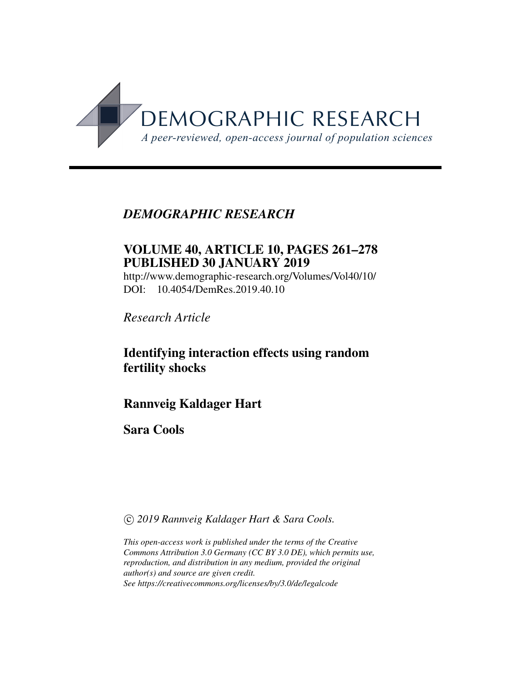

# *DEMOGRAPHIC RESEARCH*

# VOLUME 40, ARTICLE 10, PAGES 261–278 PUBLISHED 30 JANUARY 2019

<http://www.demographic-research.org/Volumes/Vol40/10/> DOI: 10.4054/DemRes.2019.40.10

*Research Article*

# Identifying interaction effects using random fertility shocks

# Rannveig Kaldager Hart

# Sara Cools

c *2019 Rannveig Kaldager Hart & Sara Cools.*

*This open-access work is published under the terms of the Creative Commons Attribution 3.0 Germany (CC BY 3.0 DE), which permits use, reproduction, and distribution in any medium, provided the original author(s) and source are given credit. See<https://creativecommons.org/licenses/by/3.0/de/legalcode>*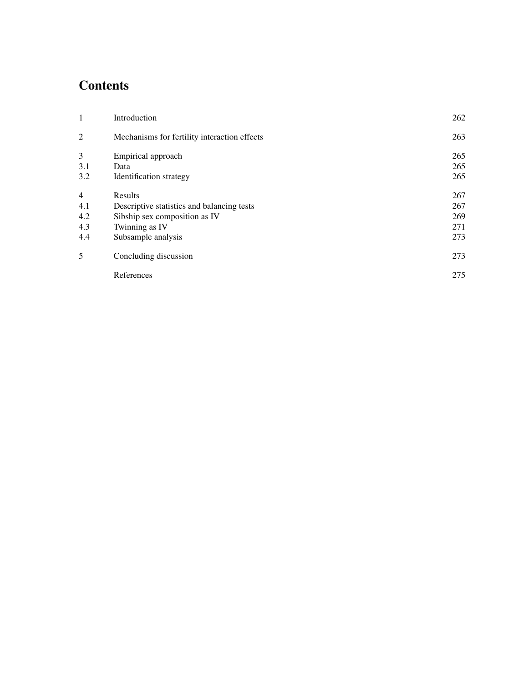# Contents

| 1              | Introduction                                 | 262 |
|----------------|----------------------------------------------|-----|
| $\overline{2}$ | Mechanisms for fertility interaction effects | 263 |
| 3              | Empirical approach                           | 265 |
| 3.1            | Data                                         | 265 |
| 3.2            | Identification strategy                      | 265 |
| $\overline{4}$ | Results                                      | 267 |
| 4.1            | Descriptive statistics and balancing tests   | 267 |
| 4.2            | Sibship sex composition as IV                | 269 |
| 4.3            | Twinning as IV                               | 271 |
| 4.4            | Subsample analysis                           | 273 |
| 5              | Concluding discussion                        | 273 |
|                | References                                   | 275 |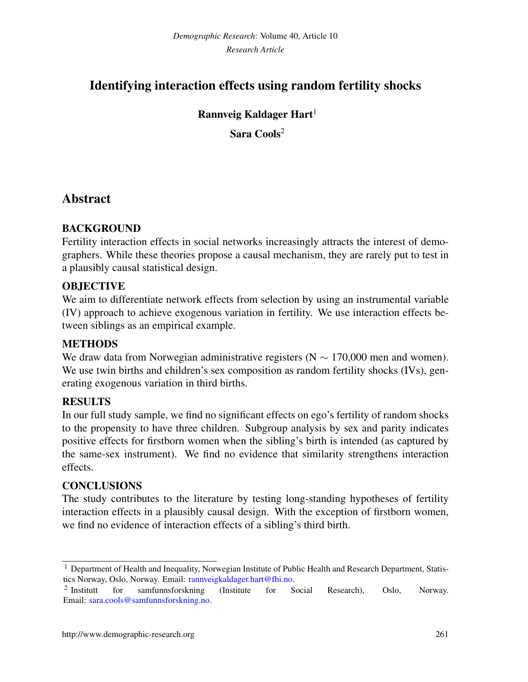# Identifying interaction effects using random fertility shocks

## Rannveig Kaldager Hart<sup>1</sup>

Sara Cools<sup>2</sup>

# Abstract

### **BACKGROUND**

Fertility interaction effects in social networks increasingly attracts the interest of demographers. While these theories propose a causal mechanism, they are rarely put to test in a plausibly causal statistical design.

### **OBJECTIVE**

We aim to differentiate network effects from selection by using an instrumental variable (IV) approach to achieve exogenous variation in fertility. We use interaction effects between siblings as an empirical example.

### **METHODS**

We draw data from Norwegian administrative registers ( $N \sim 170,000$  men and women). We use twin births and children's sex composition as random fertility shocks (IVs), generating exogenous variation in third births.

## RESULTS

In our full study sample, we find no significant effects on ego's fertility of random shocks to the propensity to have three children. Subgroup analysis by sex and parity indicates positive effects for firstborn women when the sibling's birth is intended (as captured by the same-sex instrument). We find no evidence that similarity strengthens interaction effects.

### **CONCLUSIONS**

The study contributes to the literature by testing long-standing hypotheses of fertility interaction effects in a plausibly causal design. With the exception of firstborn women, we find no evidence of interaction effects of a sibling's third birth.

<span id="page-2-0"></span><sup>&</sup>lt;sup>1</sup> Department of Health and Inequality, Norwegian Institute of Public Health and Research Department, Statistics Norway, Oslo, Norway. Email: [rannveigkaldager.hart@fhi.no.](mailto:rannveigkaldager.hart@fhi.no)

 $2$  Institutt for samfunnsforskning (Institute for Social Research), Oslo, Norway. Email: [sara.cools@samfunnsforskning.no.](mailto:sara.cools@samfunnsforskning.no)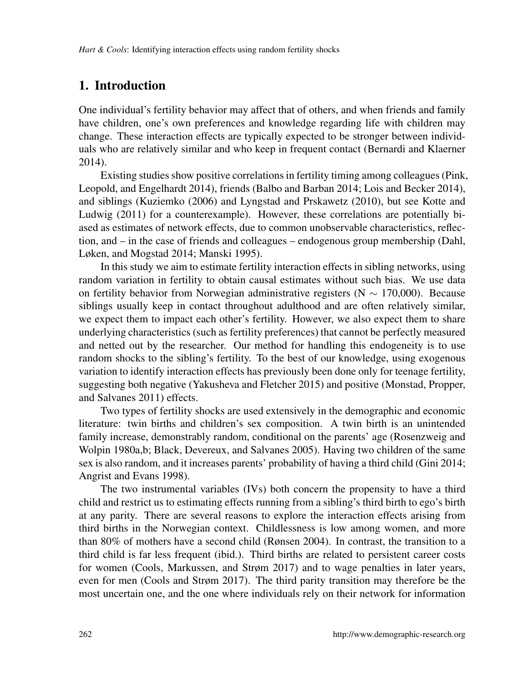# 1. Introduction

One individual's fertility behavior may affect that of others, and when friends and family have children, one's own preferences and knowledge regarding life with children may change. These interaction effects are typically expected to be stronger between individuals who are relatively similar and who keep in frequent contact [\(Bernardi and Klaerner](#page-16-0) [2014\)](#page-16-0).

Existing studies show positive correlations in fertility timing among colleagues [\(Pink,](#page-18-0) [Leopold, and Engelhardt 2014\)](#page-18-0), friends [\(Balbo and Barban 2014;](#page-16-1) [Lois and Becker 2014\)](#page-18-1), and siblings [\(Kuziemko](#page-18-2) [\(2006\)](#page-18-2) and [Lyngstad and Prskawetz](#page-18-3) [\(2010\)](#page-18-3), but see [Kotte and](#page-17-0) [Ludwig](#page-17-0) [\(2011\)](#page-17-0) for a counterexample). However, these correlations are potentially biased as estimates of network effects, due to common unobservable characteristics, reflection, and – in the case of friends and colleagues – endogenous group membership [\(Dahl,](#page-17-1) [Løken, and Mogstad 2014;](#page-17-1) [Manski 1995\)](#page-18-4).

In this study we aim to estimate fertility interaction effects in sibling networks, using random variation in fertility to obtain causal estimates without such bias. We use data on fertility behavior from Norwegian administrative registers (N ∼ 170,000). Because siblings usually keep in contact throughout adulthood and are often relatively similar, we expect them to impact each other's fertility. However, we also expect them to share underlying characteristics (such as fertility preferences) that cannot be perfectly measured and netted out by the researcher. Our method for handling this endogeneity is to use random shocks to the sibling's fertility. To the best of our knowledge, using exogenous variation to identify interaction effects has previously been done only for teenage fertility, suggesting both negative [\(Yakusheva and Fletcher 2015\)](#page-19-0) and positive [\(Monstad, Propper,](#page-18-5) [and Salvanes 2011\)](#page-18-5) effects.

Two types of fertility shocks are used extensively in the demographic and economic literature: twin births and children's sex composition. A twin birth is an unintended family increase, demonstrably random, conditional on the parents' age [\(Rosenzweig and](#page-18-6) [Wolpin 1980a](#page-18-6)[,b;](#page-18-7) [Black, Devereux, and Salvanes 2005\)](#page-16-2). Having two children of the same sex is also random, and it increases parents' probability of having a third child [\(Gini 2014;](#page-17-2) [Angrist and Evans 1998\)](#page-16-3).

The two instrumental variables (IVs) both concern the propensity to have a third child and restrict us to estimating effects running from a sibling's third birth to ego's birth at any parity. There are several reasons to explore the interaction effects arising from third births in the Norwegian context. Childlessness is low among women, and more than 80% of mothers have a second child [\(Rønsen 2004\)](#page-18-8). In contrast, the transition to a third child is far less frequent (ibid.). Third births are related to persistent career costs for women [\(Cools, Markussen, and Strøm 2017\)](#page-16-4) and to wage penalties in later years, even for men [\(Cools and Strøm 2017\)](#page-17-3). The third parity transition may therefore be the most uncertain one, and the one where individuals rely on their network for information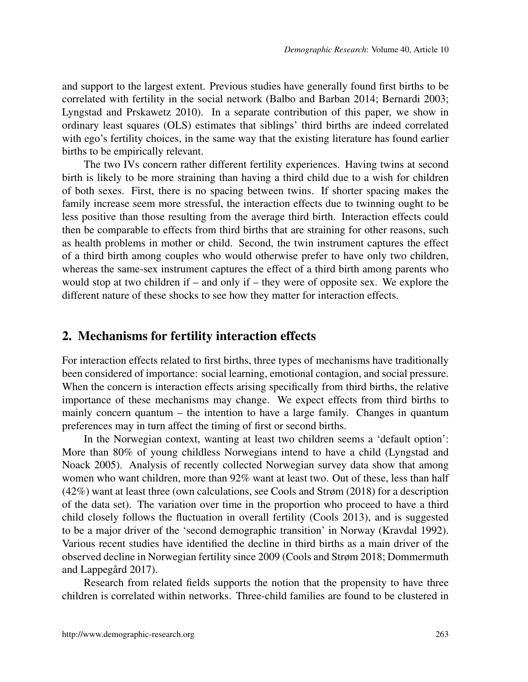and support to the largest extent. Previous studies have generally found first births to be correlated with fertility in the social network [\(Balbo and Barban 2014;](#page-16-1) [Bernardi 2003;](#page-16-5) [Lyngstad and Prskawetz 2010\)](#page-18-3). In a separate contribution of this paper, we show in ordinary least squares (OLS) estimates that siblings' third births are indeed correlated with ego's fertility choices, in the same way that the existing literature has found earlier births to be empirically relevant.

The two IVs concern rather different fertility experiences. Having twins at second birth is likely to be more straining than having a third child due to a wish for children of both sexes. First, there is no spacing between twins. If shorter spacing makes the family increase seem more stressful, the interaction effects due to twinning ought to be less positive than those resulting from the average third birth. Interaction effects could then be comparable to effects from third births that are straining for other reasons, such as health problems in mother or child. Second, the twin instrument captures the effect of a third birth among couples who would otherwise prefer to have only two children, whereas the same-sex instrument captures the effect of a third birth among parents who would stop at two children if – and only if – they were of opposite sex. We explore the different nature of these shocks to see how they matter for interaction effects.

### <span id="page-4-0"></span>2. Mechanisms for fertility interaction effects

For interaction effects related to first births, three types of mechanisms have traditionally been considered of importance: social learning, emotional contagion, and social pressure. When the concern is interaction effects arising specifically from third births, the relative importance of these mechanisms may change. We expect effects from third births to mainly concern quantum – the intention to have a large family. Changes in quantum preferences may in turn affect the timing of first or second births.

In the Norwegian context, wanting at least two children seems a 'default option': More than 80% of young childless Norwegians intend to have a child [\(Lyngstad and](#page-18-9) [Noack 2005\)](#page-18-9). Analysis of recently collected Norwegian survey data show that among women who want children, more than 92% want at least two. Out of these, less than half (42%) want at least three (own calculations, see [Cools and Strøm](#page-17-4) [\(2018\)](#page-17-4) for a description of the data set). The variation over time in the proportion who proceed to have a third child closely follows the fluctuation in overall fertility (Cools 2013), and is suggested to be a major driver of the 'second demographic transition' in Norway [\(Kravdal 1992\)](#page-17-5). Various recent studies have identified the decline in third births as a main driver of the observed decline in Norwegian fertility since 2009 [\(Cools and Strøm 2018;](#page-17-4) [Dommermuth](#page-17-6) and Lappegård 2017).

Research from related fields supports the notion that the propensity to have three children is correlated within networks. Three-child families are found to be clustered in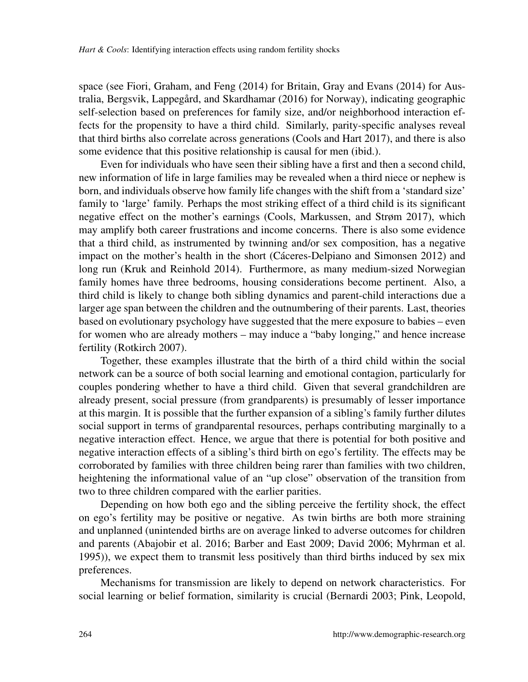space (see [Fiori, Graham, and Feng](#page-17-7) [\(2014\)](#page-17-7) for Britain, [Gray and Evans](#page-17-8) [\(2014\)](#page-17-8) for Australia, Bergsvik, Lappegård, and Skardhamar  $(2016)$  for Norway), indicating geographic self-selection based on preferences for family size, and/or neighborhood interaction effects for the propensity to have a third child. Similarly, parity-specific analyses reveal that third births also correlate across generations [\(Cools and Hart 2017\)](#page-16-7), and there is also some evidence that this positive relationship is causal for men (ibid.).

Even for individuals who have seen their sibling have a first and then a second child, new information of life in large families may be revealed when a third niece or nephew is born, and individuals observe how family life changes with the shift from a 'standard size' family to 'large' family. Perhaps the most striking effect of a third child is its significant negative effect on the mother's earnings [\(Cools, Markussen, and Strøm 2017\)](#page-16-4), which may amplify both career frustrations and income concerns. There is also some evidence that a third child, as instrumented by twinning and/or sex composition, has a negative impact on the mother's health in the short (Cáceres-Delpiano and Simonsen 2012) and long run [\(Kruk and Reinhold 2014\)](#page-17-9). Furthermore, as many medium-sized Norwegian family homes have three bedrooms, housing considerations become pertinent. Also, a third child is likely to change both sibling dynamics and parent-child interactions due a larger age span between the children and the outnumbering of their parents. Last, theories based on evolutionary psychology have suggested that the mere exposure to babies – even for women who are already mothers – may induce a "baby longing," and hence increase fertility [\(Rotkirch 2007\)](#page-19-1).

Together, these examples illustrate that the birth of a third child within the social network can be a source of both social learning and emotional contagion, particularly for couples pondering whether to have a third child. Given that several grandchildren are already present, social pressure (from grandparents) is presumably of lesser importance at this margin. It is possible that the further expansion of a sibling's family further dilutes social support in terms of grandparental resources, perhaps contributing marginally to a negative interaction effect. Hence, we argue that there is potential for both positive and negative interaction effects of a sibling's third birth on ego's fertility. The effects may be corroborated by families with three children being rarer than families with two children, heightening the informational value of an "up close" observation of the transition from two to three children compared with the earlier parities.

Depending on how both ego and the sibling perceive the fertility shock, the effect on ego's fertility may be positive or negative. As twin births are both more straining and unplanned (unintended births are on average linked to adverse outcomes for children and parents [\(Abajobir et al. 2016;](#page-16-9) [Barber and East 2009;](#page-16-10) [David 2006;](#page-17-10) [Myhrman et al.](#page-18-10) [1995\)](#page-18-10)), we expect them to transmit less positively than third births induced by sex mix preferences.

Mechanisms for transmission are likely to depend on network characteristics. For social learning or belief formation, similarity is crucial [\(Bernardi 2003;](#page-16-5) [Pink, Leopold,](#page-18-0)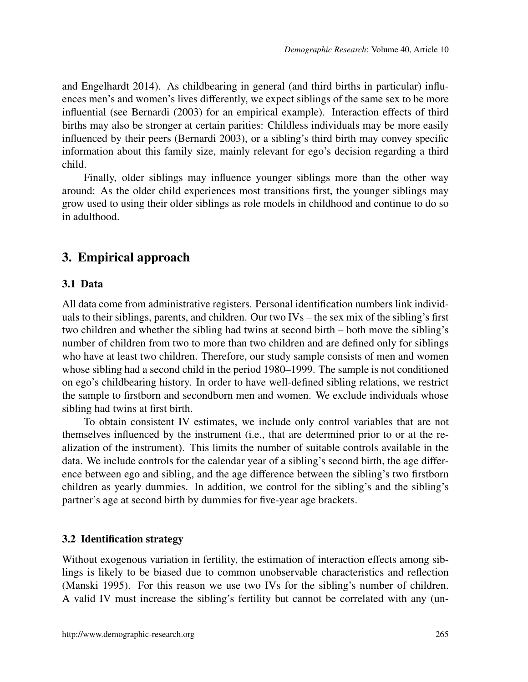[and Engelhardt 2014\)](#page-18-0). As childbearing in general (and third births in particular) influences men's and women's lives differently, we expect siblings of the same sex to be more influential (see [Bernardi](#page-16-5) [\(2003\)](#page-16-5) for an empirical example). Interaction effects of third births may also be stronger at certain parities: Childless individuals may be more easily influenced by their peers [\(Bernardi 2003\)](#page-16-5), or a sibling's third birth may convey specific information about this family size, mainly relevant for ego's decision regarding a third child.

Finally, older siblings may influence younger siblings more than the other way around: As the older child experiences most transitions first, the younger siblings may grow used to using their older siblings as role models in childhood and continue to do so in adulthood.

# <span id="page-6-0"></span>3. Empirical approach

#### <span id="page-6-1"></span>3.1 Data

All data come from administrative registers. Personal identification numbers link individuals to their siblings, parents, and children. Our two IVs – the sex mix of the sibling's first two children and whether the sibling had twins at second birth – both move the sibling's number of children from two to more than two children and are defined only for siblings who have at least two children. Therefore, our study sample consists of men and women whose sibling had a second child in the period 1980–1999. The sample is not conditioned on ego's childbearing history. In order to have well-defined sibling relations, we restrict the sample to firstborn and secondborn men and women. We exclude individuals whose sibling had twins at first birth.

To obtain consistent IV estimates, we include only control variables that are not themselves influenced by the instrument (i.e., that are determined prior to or at the realization of the instrument). This limits the number of suitable controls available in the data. We include controls for the calendar year of a sibling's second birth, the age difference between ego and sibling, and the age difference between the sibling's two firstborn children as yearly dummies. In addition, we control for the sibling's and the sibling's partner's age at second birth by dummies for five-year age brackets.

### <span id="page-6-2"></span>3.2 Identification strategy

Without exogenous variation in fertility, the estimation of interaction effects among siblings is likely to be biased due to common unobservable characteristics and reflection [\(Manski 1995\)](#page-18-4). For this reason we use two IVs for the sibling's number of children. A valid IV must increase the sibling's fertility but cannot be correlated with any (un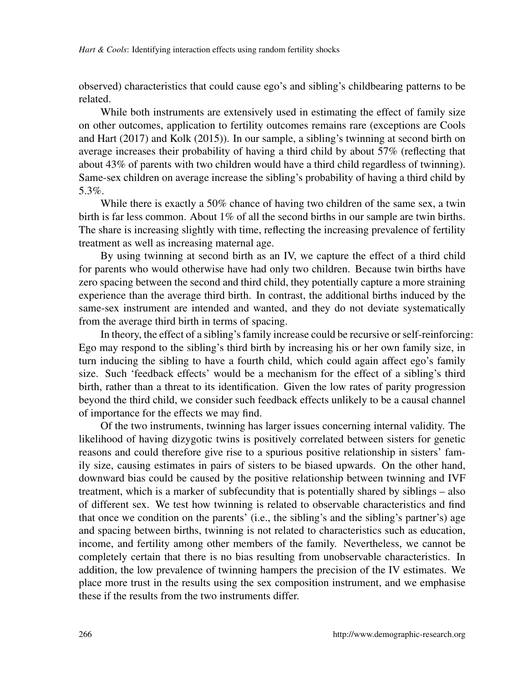observed) characteristics that could cause ego's and sibling's childbearing patterns to be related.

While both instruments are extensively used in estimating the effect of family size on other outcomes, application to fertility outcomes remains rare (exceptions are [Cools](#page-16-7) [and Hart](#page-16-7) [\(2017\)](#page-16-7) and [Kolk](#page-17-11) [\(2015\)](#page-17-11)). In our sample, a sibling's twinning at second birth on average increases their probability of having a third child by about 57% (reflecting that about 43% of parents with two children would have a third child regardless of twinning). Same-sex children on average increase the sibling's probability of having a third child by 5.3%.

While there is exactly a 50% chance of having two children of the same sex, a twin birth is far less common. About 1% of all the second births in our sample are twin births. The share is increasing slightly with time, reflecting the increasing prevalence of fertility treatment as well as increasing maternal age.

By using twinning at second birth as an IV, we capture the effect of a third child for parents who would otherwise have had only two children. Because twin births have zero spacing between the second and third child, they potentially capture a more straining experience than the average third birth. In contrast, the additional births induced by the same-sex instrument are intended and wanted, and they do not deviate systematically from the average third birth in terms of spacing.

In theory, the effect of a sibling's family increase could be recursive or self-reinforcing: Ego may respond to the sibling's third birth by increasing his or her own family size, in turn inducing the sibling to have a fourth child, which could again affect ego's family size. Such 'feedback effects' would be a mechanism for the effect of a sibling's third birth, rather than a threat to its identification. Given the low rates of parity progression beyond the third child, we consider such feedback effects unlikely to be a causal channel of importance for the effects we may find.

Of the two instruments, twinning has larger issues concerning internal validity. The likelihood of having dizygotic twins is positively correlated between sisters for genetic reasons and could therefore give rise to a spurious positive relationship in sisters' family size, causing estimates in pairs of sisters to be biased upwards. On the other hand, downward bias could be caused by the positive relationship between twinning and IVF treatment, which is a marker of subfecundity that is potentially shared by siblings – also of different sex. We test how twinning is related to observable characteristics and find that once we condition on the parents' (i.e., the sibling's and the sibling's partner's) age and spacing between births, twinning is not related to characteristics such as education, income, and fertility among other members of the family. Nevertheless, we cannot be completely certain that there is no bias resulting from unobservable characteristics. In addition, the low prevalence of twinning hampers the precision of the IV estimates. We place more trust in the results using the sex composition instrument, and we emphasise these if the results from the two instruments differ.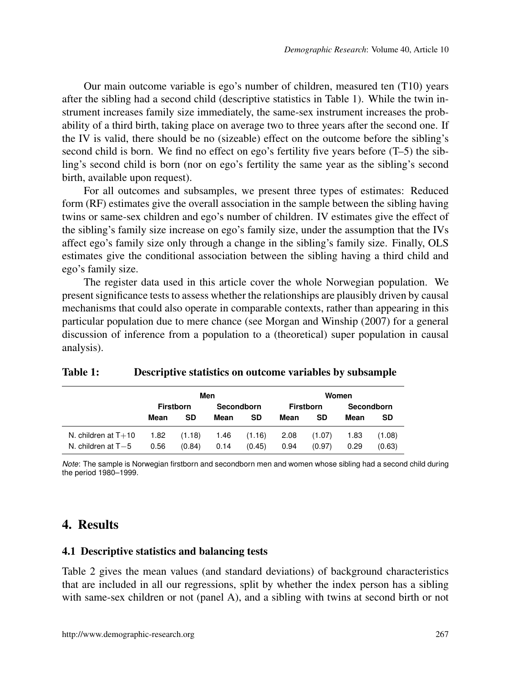Our main outcome variable is ego's number of children, measured ten (T10) years after the sibling had a second child (descriptive statistics in Table [1\)](#page-8-2). While the twin instrument increases family size immediately, the same-sex instrument increases the probability of a third birth, taking place on average two to three years after the second one. If the IV is valid, there should be no (sizeable) effect on the outcome before the sibling's second child is born. We find no effect on ego's fertility five years before (T–5) the sibling's second child is born (nor on ego's fertility the same year as the sibling's second birth, available upon request).

For all outcomes and subsamples, we present three types of estimates: Reduced form (RF) estimates give the overall association in the sample between the sibling having twins or same-sex children and ego's number of children. IV estimates give the effect of the sibling's family size increase on ego's family size, under the assumption that the IVs affect ego's family size only through a change in the sibling's family size. Finally, OLS estimates give the conditional association between the sibling having a third child and ego's family size.

The register data used in this article cover the whole Norwegian population. We present significance tests to assess whether the relationships are plausibly driven by causal mechanisms that could also operate in comparable contexts, rather than appearing in this particular population due to mere chance (see [Morgan and Winship](#page-18-11) [\(2007\)](#page-18-11) for a general discussion of inference from a population to a (theoretical) super population in causal analysis).

|                       |      |                  | Men        |        |      |                  | Women |            |
|-----------------------|------|------------------|------------|--------|------|------------------|-------|------------|
|                       |      | <b>Firstborn</b> | Secondborn |        |      | <b>Firstborn</b> |       | Secondborn |
|                       | Mean | SD               | Mean       | SD     | Mean | SD               | Mean  | SD         |
| N. children at $T+10$ | 1.82 | (1.18)           | 1.46       | (1.16) | 2.08 | (1.07)           | 1.83  | (1.08)     |
| N. children at $T-5$  | 0.56 | (0.84)           | 0.14       | (0.45) | 0.94 | (0.97)           | 0.29  | (0.63)     |

<span id="page-8-2"></span>

|  | Table 1: | Descriptive statistics on outcome variables by subsample |  |
|--|----------|----------------------------------------------------------|--|
|--|----------|----------------------------------------------------------|--|

*Note*: The sample is Norwegian firstborn and secondborn men and women whose sibling had a second child during the period 1980–1999.

### <span id="page-8-0"></span>4. Results

#### <span id="page-8-1"></span>4.1 Descriptive statistics and balancing tests

Table [2](#page-9-0) gives the mean values (and standard deviations) of background characteristics that are included in all our regressions, split by whether the index person has a sibling with same-sex children or not (panel A), and a sibling with twins at second birth or not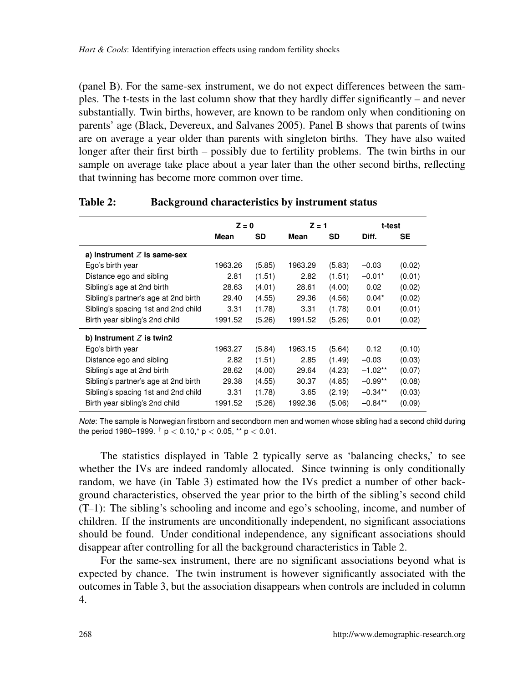(panel B). For the same-sex instrument, we do not expect differences between the samples. The t-tests in the last column show that they hardly differ significantly – and never substantially. Twin births, however, are known to be random only when conditioning on parents' age [\(Black, Devereux, and Salvanes 2005\)](#page-16-2). Panel B shows that parents of twins are on average a year older than parents with singleton births. They have also waited longer after their first birth – possibly due to fertility problems. The twin births in our sample on average take place about a year later than the other second births, reflecting that twinning has become more common over time.

|                                      | $Z = 0$ |        | $Z = 1$ |        | t-test    |        |
|--------------------------------------|---------|--------|---------|--------|-----------|--------|
|                                      | Mean    | SD     | Mean    | SD     | Diff.     | SE     |
| a) Instrument $Z$ is same-sex        |         |        |         |        |           |        |
| Ego's birth year                     | 1963.26 | (5.85) | 1963.29 | (5.83) | $-0.03$   | (0.02) |
| Distance ego and sibling             | 2.81    | (1.51) | 2.82    | (1.51) | $-0.01*$  | (0.01) |
| Sibling's age at 2nd birth           | 28.63   | (4.01) | 28.61   | (4.00) | 0.02      | (0.02) |
| Sibling's partner's age at 2nd birth | 29.40   | (4.55) | 29.36   | (4.56) | $0.04*$   | (0.02) |
| Sibling's spacing 1st and 2nd child  | 3.31    | (1.78) | 3.31    | (1.78) | 0.01      | (0.01) |
| Birth year sibling's 2nd child       | 1991.52 | (5.26) | 1991.52 | (5.26) | 0.01      | (0.02) |
| b) Instrument $Z$ is twin2           |         |        |         |        |           |        |
| Ego's birth year                     | 1963.27 | (5.84) | 1963.15 | (5.64) | 0.12      | (0.10) |
| Distance ego and sibling             | 2.82    | (1.51) | 2.85    | (1.49) | $-0.03$   | (0.03) |
| Sibling's age at 2nd birth           | 28.62   | (4.00) | 29.64   | (4.23) | $-1.02**$ | (0.07) |
| Sibling's partner's age at 2nd birth | 29.38   | (4.55) | 30.37   | (4.85) | $-0.99**$ | (0.08) |
| Sibling's spacing 1st and 2nd child  | 3.31    | (1.78) | 3.65    | (2.19) | $-0.34**$ | (0.03) |
| Birth year sibling's 2nd child       | 1991.52 | (5.26) | 1992.36 | (5.06) | $-0.84**$ | (0.09) |
|                                      |         |        |         |        |           |        |

### <span id="page-9-0"></span>Table 2: Background characteristics by instrument status

*Note*: The sample is Norwegian firstborn and secondborn men and women whose sibling had a second child during the period 1980–1999.  $^{\dagger}$  p  $<$  0.10,\* p  $<$  0.05, \*\* p  $<$  0.01.

The statistics displayed in Table [2](#page-9-0) typically serve as 'balancing checks,' to see whether the IVs are indeed randomly allocated. Since twinning is only conditionally random, we have (in Table [3\)](#page-10-1) estimated how the IVs predict a number of other background characteristics, observed the year prior to the birth of the sibling's second child (T–1): The sibling's schooling and income and ego's schooling, income, and number of children. If the instruments are unconditionally independent, no significant associations should be found. Under conditional independence, any significant associations should disappear after controlling for all the background characteristics in Table [2.](#page-9-0)

For the same-sex instrument, there are no significant associations beyond what is expected by chance. The twin instrument is however significantly associated with the outcomes in Table [3,](#page-10-1) but the association disappears when controls are included in column 4.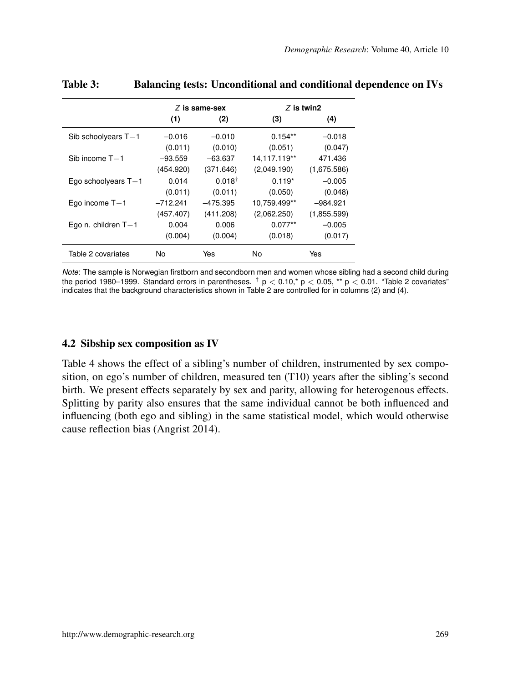|                       |            | $Z$ is same-sex   |              | $Z$ is twin2 |
|-----------------------|------------|-------------------|--------------|--------------|
|                       | (1)        | (2)               | (3)          | (4)          |
| Sib schoolyears $T-1$ | $-0.016$   | $-0.010$          | $0.154**$    | $-0.018$     |
|                       | (0.011)    | (0.010)           | (0.051)      | (0.047)      |
| Sib income $T-1$      | $-93.559$  | $-63.637$         | 14,117.119** | 471.436      |
|                       | (454.920)  | (371.646)         | (2,049.190)  | (1,675.586)  |
| Ego schoolyears $T-1$ | 0.014      | $0.018^{\dagger}$ | $0.119*$     | $-0.005$     |
|                       | (0.011)    | (0.011)           | (0.050)      | (0.048)      |
| Ego income $T-1$      | $-712.241$ | $-475.395$        | 10,759.499** | $-984.921$   |
|                       | (457.407)  | (411.208)         | (2,062.250)  | (1,855.599)  |
| Ego n. children $T-1$ | 0.004      | 0.006             | $0.077**$    | $-0.005$     |
|                       | (0.004)    | (0.004)           | (0.018)      | (0.017)      |
| Table 2 covariates    | No         | Yes               | No           | Yes          |

### <span id="page-10-1"></span>Table 3: Balancing tests: Unconditional and conditional dependence on IVs

*Note*: The sample is Norwegian firstborn and secondborn men and women whose sibling had a second child during the period 1980–1999. Standard errors in parentheses.  $^\dagger$  p < 0.10,\* p < 0.05, \*\* p < 0.01. "Table [2](#page-9-0) covariates" indicates that the background characteristics shown in Table [2](#page-9-0) are controlled for in columns (2) and (4).

#### <span id="page-10-0"></span>4.2 Sibship sex composition as IV

Table [4](#page-11-0) shows the effect of a sibling's number of children, instrumented by sex composition, on ego's number of children, measured ten (T10) years after the sibling's second birth. We present effects separately by sex and parity, allowing for heterogenous effects. Splitting by parity also ensures that the same individual cannot be both influenced and influencing (both ego and sibling) in the same statistical model, which would otherwise cause reflection bias [\(Angrist 2014\)](#page-16-11).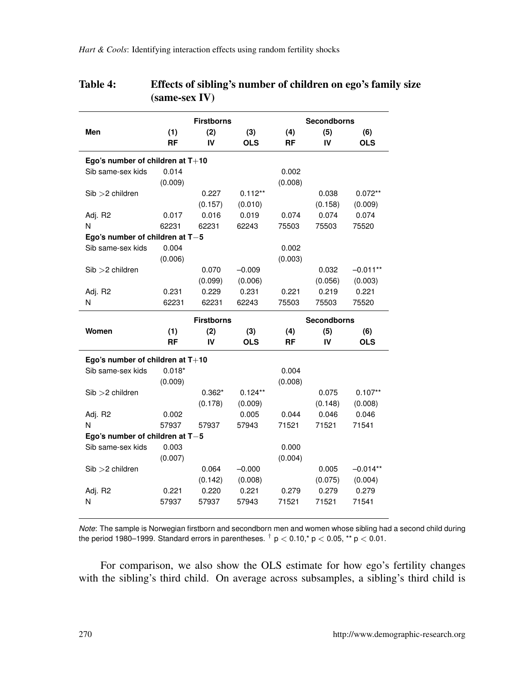|                                                        |                | <b>Firstborns</b> |                |                | Secondborns        |                |
|--------------------------------------------------------|----------------|-------------------|----------------|----------------|--------------------|----------------|
| Men                                                    | (1)            | (2)               | (3)            | (4)            | (5)                | (6)            |
|                                                        | <b>RF</b>      | IV                | <b>OLS</b>     | RF             | IV                 | <b>OLS</b>     |
| Ego's number of children at $T+10$                     |                |                   |                |                |                    |                |
| Sib same-sex kids                                      | 0.014          |                   |                | 0.002          |                    |                |
|                                                        | (0.009)        |                   |                | (0.008)        |                    |                |
| $Sib > 2$ children                                     |                | 0.227             | $0.112**$      |                | 0.038              | $0.072**$      |
|                                                        |                | (0.157)           | (0.010)        |                | (0.158)            | (0.009)        |
| Adj. R2                                                | 0.017          | 0.016             | 0.019          | 0.074          | 0.074              | 0.074          |
| N                                                      | 62231          | 62231             | 62243          | 75503          | 75503              | 75520          |
| Ego's number of children at $T-5$                      |                |                   |                |                |                    |                |
| Sib same-sex kids                                      | 0.004          |                   |                | 0.002          |                    |                |
|                                                        | (0.006)        |                   |                | (0.003)        |                    |                |
| $Sib > 2$ children                                     |                | 0.070             | $-0.009$       |                | 0.032              | $-0.011**$     |
|                                                        |                | (0.099)           | (0.006)        |                | (0.056)            | (0.003)        |
| Adj. R2                                                | 0.231          | 0.229             | 0.231          | 0.221          | 0.219              | 0.221          |
| N                                                      | 62231          | 62231             | 62243          | 75503          | 75503              | 75520          |
|                                                        |                | <b>Firstborns</b> |                |                | <b>Secondborns</b> |                |
| Women                                                  | (1)            | (2)               | (3)            | (4)            | (5)                | (6)            |
|                                                        | <b>RF</b>      | IV                | <b>OLS</b>     | <b>RF</b>      | IV                 | <b>OLS</b>     |
| Ego's number of children at $T+10$                     |                |                   |                |                |                    |                |
| Sib same-sex kids                                      | $0.018*$       |                   |                | 0.004          |                    |                |
|                                                        | (0.009)        |                   |                | (0.008)        |                    |                |
| $Sib > 2$ children                                     |                | $0.362*$          | $0.124**$      |                | 0.075              | $0.107**$      |
|                                                        |                | (0.178)           | (0.009)        |                | (0.148)            | (0.008)        |
| Adj. R2                                                | 0.002          |                   | 0.005          | 0.044          | 0.046              | 0.046          |
| N                                                      | 57937          | 57937             | 57943          | 71521          | 71521              | 71541          |
|                                                        |                |                   |                |                |                    |                |
|                                                        |                |                   |                |                |                    |                |
| Ego's number of children at $T-5$<br>Sib same-sex kids |                |                   |                |                |                    |                |
|                                                        | 0.003          |                   |                | 0.000          |                    |                |
|                                                        | (0.007)        |                   |                | (0.004)        |                    |                |
| $Sib > 2$ children                                     |                | 0.064             | $-0.000$       |                | 0.005              | $-0.014**$     |
|                                                        |                | (0.142)           | (0.008)        |                | (0.075)            | (0.004)        |
| Adj. R2<br>N                                           | 0.221<br>57937 | 0.220<br>57937    | 0.221<br>57943 | 0.279<br>71521 | 0.279<br>71521     | 0.279<br>71541 |

### <span id="page-11-0"></span>Table 4: Effects of sibling's number of children on ego's family size (same-sex IV)

*Note*: The sample is Norwegian firstborn and secondborn men and women whose sibling had a second child during the period 1980–1999. Standard errors in parentheses.  $^\dagger$  p  $<$  0.10,\* p  $<$  0.05, \*\* p  $<$  0.01.

For comparison, we also show the OLS estimate for how ego's fertility changes with the sibling's third child. On average across subsamples, a sibling's third child is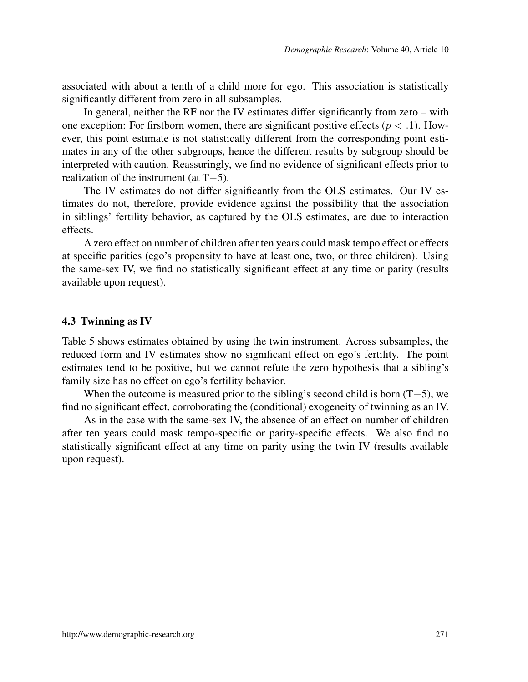associated with about a tenth of a child more for ego. This association is statistically significantly different from zero in all subsamples.

In general, neither the RF nor the IV estimates differ significantly from zero – with one exception: For firstborn women, there are significant positive effects ( $p < 0.1$ ). However, this point estimate is not statistically different from the corresponding point estimates in any of the other subgroups, hence the different results by subgroup should be interpreted with caution. Reassuringly, we find no evidence of significant effects prior to realization of the instrument (at T−5).

The IV estimates do not differ significantly from the OLS estimates. Our IV estimates do not, therefore, provide evidence against the possibility that the association in siblings' fertility behavior, as captured by the OLS estimates, are due to interaction effects.

A zero effect on number of children after ten years could mask tempo effect or effects at specific parities (ego's propensity to have at least one, two, or three children). Using the same-sex IV, we find no statistically significant effect at any time or parity (results available upon request).

#### <span id="page-12-0"></span>4.3 Twinning as IV

Table [5](#page-13-1) shows estimates obtained by using the twin instrument. Across subsamples, the reduced form and IV estimates show no significant effect on ego's fertility. The point estimates tend to be positive, but we cannot refute the zero hypothesis that a sibling's family size has no effect on ego's fertility behavior.

When the outcome is measured prior to the sibling's second child is born  $(T-5)$ , we find no significant effect, corroborating the (conditional) exogeneity of twinning as an IV.

As in the case with the same-sex IV, the absence of an effect on number of children after ten years could mask tempo-specific or parity-specific effects. We also find no statistically significant effect at any time on parity using the twin IV (results available upon request).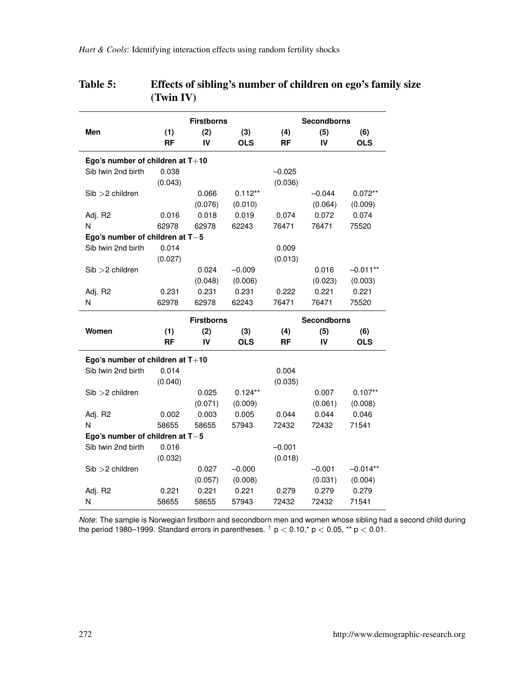| <b>Firstborns</b><br><b>Secondborns</b><br>(2)<br>Men<br>(1)<br>(3)<br>(5)<br>(4)<br>(6)<br><b>RF</b><br>IV<br><b>OLS</b><br>IV<br><b>OLS</b><br>RF<br>Ego's number of children at $T+10$<br>Sib twin 2nd birth<br>0.038<br>$-0.025$<br>(0.043)<br>(0.036)<br>$Sib > 2$ children<br>0.066<br>$0.112**$<br>$-0.044$<br>$0.072**$<br>(0.076)<br>(0.064)<br>(0.009)<br>(0.010)<br>Adj. R2<br>0.018<br>0.019<br>0.072<br>0.074<br>0.016<br>0.074<br>N<br>62978<br>62978<br>62243<br>76471<br>76471<br>75520<br>Ego's number of children at $T-5$<br>Sib twin 2nd birth<br>0.014<br>0.009<br>(0.027)<br>(0.013) |
|------------------------------------------------------------------------------------------------------------------------------------------------------------------------------------------------------------------------------------------------------------------------------------------------------------------------------------------------------------------------------------------------------------------------------------------------------------------------------------------------------------------------------------------------------------------------------------------------------------|
|                                                                                                                                                                                                                                                                                                                                                                                                                                                                                                                                                                                                            |
|                                                                                                                                                                                                                                                                                                                                                                                                                                                                                                                                                                                                            |
|                                                                                                                                                                                                                                                                                                                                                                                                                                                                                                                                                                                                            |
|                                                                                                                                                                                                                                                                                                                                                                                                                                                                                                                                                                                                            |
|                                                                                                                                                                                                                                                                                                                                                                                                                                                                                                                                                                                                            |
|                                                                                                                                                                                                                                                                                                                                                                                                                                                                                                                                                                                                            |
|                                                                                                                                                                                                                                                                                                                                                                                                                                                                                                                                                                                                            |
|                                                                                                                                                                                                                                                                                                                                                                                                                                                                                                                                                                                                            |
|                                                                                                                                                                                                                                                                                                                                                                                                                                                                                                                                                                                                            |
|                                                                                                                                                                                                                                                                                                                                                                                                                                                                                                                                                                                                            |
|                                                                                                                                                                                                                                                                                                                                                                                                                                                                                                                                                                                                            |
|                                                                                                                                                                                                                                                                                                                                                                                                                                                                                                                                                                                                            |
| $Sib > 2$ children<br>0.024<br>0.016<br>$-0.009$<br>$-0.011**$                                                                                                                                                                                                                                                                                                                                                                                                                                                                                                                                             |
| (0.048)<br>(0.006)<br>(0.023)<br>(0.003)                                                                                                                                                                                                                                                                                                                                                                                                                                                                                                                                                                   |
| 0.231<br>0.221<br>0.221<br>Adj. R2<br>0.231<br>0.231<br>0.222                                                                                                                                                                                                                                                                                                                                                                                                                                                                                                                                              |
| N<br>62978<br>62978<br>62243<br>76471<br>76471<br>75520                                                                                                                                                                                                                                                                                                                                                                                                                                                                                                                                                    |
| <b>Firstborns</b><br><b>Secondborns</b>                                                                                                                                                                                                                                                                                                                                                                                                                                                                                                                                                                    |
| Women<br>(1)<br>(2)<br>(3)<br>(4)<br>(5)<br>(6)                                                                                                                                                                                                                                                                                                                                                                                                                                                                                                                                                            |
| <b>OLS</b><br><b>OLS</b><br>RF<br>IV<br>RF<br>IV                                                                                                                                                                                                                                                                                                                                                                                                                                                                                                                                                           |
| Ego's number of children at $T+10$                                                                                                                                                                                                                                                                                                                                                                                                                                                                                                                                                                         |
| Sib twin 2nd birth<br>0.014<br>0.004                                                                                                                                                                                                                                                                                                                                                                                                                                                                                                                                                                       |
| (0.040)<br>(0.035)                                                                                                                                                                                                                                                                                                                                                                                                                                                                                                                                                                                         |
| 0.025<br>$0.124**$<br>0.007<br>$0.107**$<br>$Sib > 2$ children                                                                                                                                                                                                                                                                                                                                                                                                                                                                                                                                             |
| (0.071)<br>(0.061)<br>(0.009)<br>(0.008)                                                                                                                                                                                                                                                                                                                                                                                                                                                                                                                                                                   |
|                                                                                                                                                                                                                                                                                                                                                                                                                                                                                                                                                                                                            |
| 0.003<br>0.002<br>0.005<br>0.044<br>0.044<br>0.046                                                                                                                                                                                                                                                                                                                                                                                                                                                                                                                                                         |
| N<br>58655<br>57943<br>71541<br>58655<br>72432<br>72432                                                                                                                                                                                                                                                                                                                                                                                                                                                                                                                                                    |
|                                                                                                                                                                                                                                                                                                                                                                                                                                                                                                                                                                                                            |
| Ego's number of children at T-5<br>Sib twin 2nd birth<br>0.016<br>$-0.001$                                                                                                                                                                                                                                                                                                                                                                                                                                                                                                                                 |
| Adj. R2                                                                                                                                                                                                                                                                                                                                                                                                                                                                                                                                                                                                    |
| (0.032)<br>(0.018)                                                                                                                                                                                                                                                                                                                                                                                                                                                                                                                                                                                         |
| $Sib > 2$ children<br>0.027<br>$-0.001$<br>$-0.014**$<br>$-0.000$                                                                                                                                                                                                                                                                                                                                                                                                                                                                                                                                          |
| (0.057)<br>(0.008)<br>(0.031)<br>(0.004)<br>0.221<br>0.221<br>0.279<br>0.279<br>Adj. R <sub>2</sub><br>0.221<br>0.279                                                                                                                                                                                                                                                                                                                                                                                                                                                                                      |

### <span id="page-13-1"></span>Table 5: Effects of sibling's number of children on ego's family size (Twin IV)

<span id="page-13-0"></span>*Note*: The sample is Norwegian firstborn and secondborn men and women whose sibling had a second child during the period 1980–1999. Standard errors in parentheses.  $^{\dagger}$  p  $<$  0.10,\* p  $<$  0.05, \*\* p  $<$  0.01.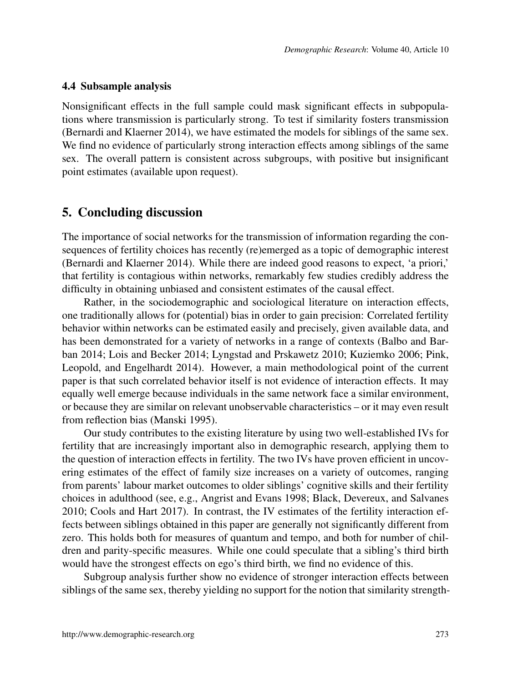#### 4.4 Subsample analysis

Nonsignificant effects in the full sample could mask significant effects in subpopulations where transmission is particularly strong. To test if similarity fosters transmission [\(Bernardi and Klaerner 2014\)](#page-16-0), we have estimated the models for siblings of the same sex. We find no evidence of particularly strong interaction effects among siblings of the same sex. The overall pattern is consistent across subgroups, with positive but insignificant point estimates (available upon request).

### <span id="page-14-0"></span>5. Concluding discussion

The importance of social networks for the transmission of information regarding the consequences of fertility choices has recently (re)emerged as a topic of demographic interest [\(Bernardi and Klaerner 2014\)](#page-16-0). While there are indeed good reasons to expect, 'a priori,' that fertility is contagious within networks, remarkably few studies credibly address the difficulty in obtaining unbiased and consistent estimates of the causal effect.

Rather, in the sociodemographic and sociological literature on interaction effects, one traditionally allows for (potential) bias in order to gain precision: Correlated fertility behavior within networks can be estimated easily and precisely, given available data, and has been demonstrated for a variety of networks in a range of contexts [\(Balbo and Bar](#page-16-1)[ban 2014;](#page-16-1) [Lois and Becker 2014;](#page-18-1) [Lyngstad and Prskawetz 2010;](#page-18-3) [Kuziemko 2006;](#page-18-2) [Pink,](#page-18-0) [Leopold, and Engelhardt 2014\)](#page-18-0). However, a main methodological point of the current paper is that such correlated behavior itself is not evidence of interaction effects. It may equally well emerge because individuals in the same network face a similar environment, or because they are similar on relevant unobservable characteristics – or it may even result from reflection bias [\(Manski 1995\)](#page-18-4).

Our study contributes to the existing literature by using two well-established IVs for fertility that are increasingly important also in demographic research, applying them to the question of interaction effects in fertility. The two IVs have proven efficient in uncovering estimates of the effect of family size increases on a variety of outcomes, ranging from parents' labour market outcomes to older siblings' cognitive skills and their fertility choices in adulthood (see, e.g., [Angrist and Evans 1998;](#page-16-3) [Black, Devereux, and Salvanes](#page-16-12) [2010;](#page-16-12) [Cools and Hart 2017\)](#page-16-7). In contrast, the IV estimates of the fertility interaction effects between siblings obtained in this paper are generally not significantly different from zero. This holds both for measures of quantum and tempo, and both for number of children and parity-specific measures. While one could speculate that a sibling's third birth would have the strongest effects on ego's third birth, we find no evidence of this.

Subgroup analysis further show no evidence of stronger interaction effects between siblings of the same sex, thereby yielding no support for the notion that similarity strength-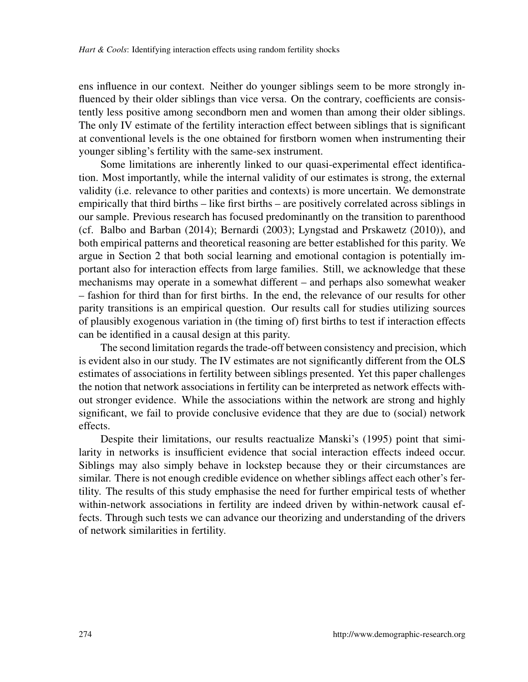ens influence in our context. Neither do younger siblings seem to be more strongly influenced by their older siblings than vice versa. On the contrary, coefficients are consistently less positive among secondborn men and women than among their older siblings. The only IV estimate of the fertility interaction effect between siblings that is significant at conventional levels is the one obtained for firstborn women when instrumenting their younger sibling's fertility with the same-sex instrument.

Some limitations are inherently linked to our quasi-experimental effect identification. Most importantly, while the internal validity of our estimates is strong, the external validity (i.e. relevance to other parities and contexts) is more uncertain. We demonstrate empirically that third births – like first births – are positively correlated across siblings in our sample. Previous research has focused predominantly on the transition to parenthood (cf. [Balbo and Barban](#page-16-1) [\(2014\)](#page-16-1); [Bernardi](#page-16-5) [\(2003\)](#page-16-5); [Lyngstad and Prskawetz](#page-18-3) [\(2010\)](#page-18-3)), and both empirical patterns and theoretical reasoning are better established for this parity. We argue in Section [2](#page-4-0) that both social learning and emotional contagion is potentially important also for interaction effects from large families. Still, we acknowledge that these mechanisms may operate in a somewhat different – and perhaps also somewhat weaker – fashion for third than for first births. In the end, the relevance of our results for other parity transitions is an empirical question. Our results call for studies utilizing sources of plausibly exogenous variation in (the timing of) first births to test if interaction effects can be identified in a causal design at this parity.

The second limitation regards the trade-off between consistency and precision, which is evident also in our study. The IV estimates are not significantly different from the OLS estimates of associations in fertility between siblings presented. Yet this paper challenges the notion that network associations in fertility can be interpreted as network effects without stronger evidence. While the associations within the network are strong and highly significant, we fail to provide conclusive evidence that they are due to (social) network effects.

Despite their limitations, our results reactualize Manski's (1995) point that similarity in networks is insufficient evidence that social interaction effects indeed occur. Siblings may also simply behave in lockstep because they or their circumstances are similar. There is not enough credible evidence on whether siblings affect each other's fertility. The results of this study emphasise the need for further empirical tests of whether within-network associations in fertility are indeed driven by within-network causal effects. Through such tests we can advance our theorizing and understanding of the drivers of network similarities in fertility.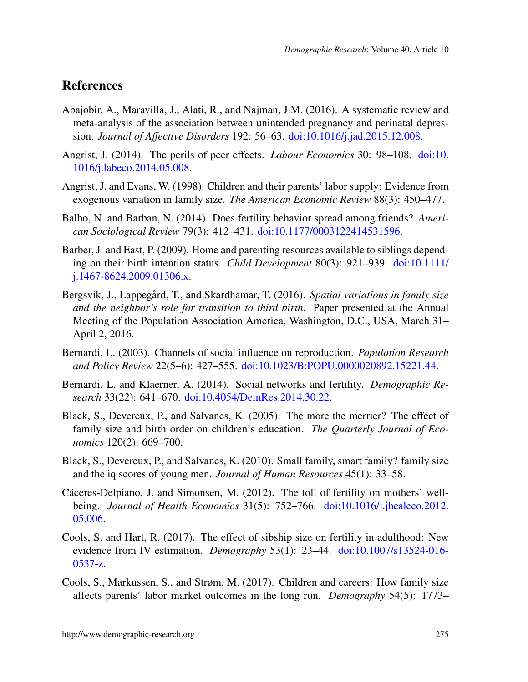# **References**

- <span id="page-16-9"></span>Abajobir, A., Maravilla, J., Alati, R., and Najman, J.M. (2016). A systematic review and meta-analysis of the association between unintended pregnancy and perinatal depression. *Journal of Affective Disorders* 192: 56–63. [doi:10.1016/j.jad.2015.12.008.](https://doi.org/10.1016/j.jad.2015.12.008)
- <span id="page-16-11"></span>Angrist, J. (2014). The perils of peer effects. *Labour Economics* 30: 98–108. [doi:10.](https://doi.org/10.1016/j.labeco.2014.05.008) [1016/j.labeco.2014.05.008.](https://doi.org/10.1016/j.labeco.2014.05.008)
- <span id="page-16-3"></span>Angrist, J. and Evans, W. (1998). Children and their parents' labor supply: Evidence from exogenous variation in family size. *The American Economic Review* 88(3): 450–477.
- <span id="page-16-1"></span>Balbo, N. and Barban, N. (2014). Does fertility behavior spread among friends? *American Sociological Review* 79(3): 412–431. [doi:10.1177/0003122414531596.](https://doi.org/10.1177/0003122414531596)
- <span id="page-16-10"></span>Barber, J. and East, P. (2009). Home and parenting resources available to siblings depending on their birth intention status. *Child Development* 80(3): 921–939. [doi:10.1111/](https://doi.org/10.1111/j.1467-8624.2009.01306.x) [j.1467-8624.2009.01306.x.](https://doi.org/10.1111/j.1467-8624.2009.01306.x)
- <span id="page-16-6"></span>Bergsvik, J., Lappegård, T., and Skardhamar, T. (2016). *Spatial variations in family size and the neighbor's role for transition to third birth*. Paper presented at the Annual Meeting of the Population Association America, Washington, D.C., USA, March 31– April 2, 2016.
- <span id="page-16-5"></span>Bernardi, L. (2003). Channels of social influence on reproduction. *Population Research and Policy Review* 22(5–6): 427–555. [doi:10.1023/B:POPU.0000020892.15221.44.](https://doi.org/10.1023/B:POPU.0000020892.15221.44)
- <span id="page-16-0"></span>Bernardi, L. and Klaerner, A. (2014). Social networks and fertility. *Demographic Research* 33(22): 641–670. [doi:10.4054/DemRes.2014.30.22.](https://doi.org/10.4054/DemRes.2014.30.22)
- <span id="page-16-2"></span>Black, S., Devereux, P., and Salvanes, K. (2005). The more the merrier? The effect of family size and birth order on children's education. *The Quarterly Journal of Economics* 120(2): 669–700.
- <span id="page-16-12"></span>Black, S., Devereux, P., and Salvanes, K. (2010). Small family, smart family? family size and the iq scores of young men. *Journal of Human Resources* 45(1): 33–58.
- <span id="page-16-8"></span>Cáceres-Delpiano, J. and Simonsen, M. (2012). The toll of fertility on mothers' wellbeing. *Journal of Health Economics* 31(5): 752–766. [doi:10.1016/j.jhealeco.2012.](https://doi.org/10.1016/j.jhealeco.2012.05.006) [05.006.](https://doi.org/10.1016/j.jhealeco.2012.05.006)
- <span id="page-16-7"></span>Cools, S. and Hart, R. (2017). The effect of sibship size on fertility in adulthood: New evidence from IV estimation. *Demography* 53(1): 23–44. [doi:10.1007/s13524-016-](https://doi.org/10.1007/s13524-016-0537-z) [0537-z.](https://doi.org/10.1007/s13524-016-0537-z)
- <span id="page-16-4"></span>Cools, S., Markussen, S., and Strøm, M. (2017). Children and careers: How family size affects parents' labor market outcomes in the long run. *Demography* 54(5): 1773–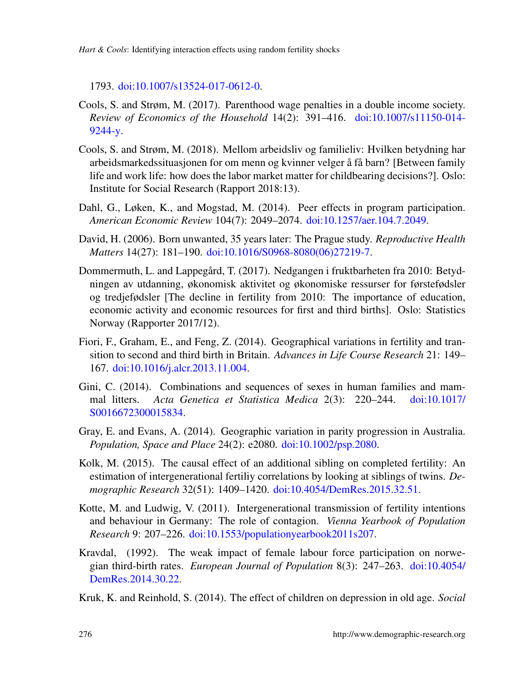*Hart & Cools*: Identifying interaction effects using random fertility shocks

1793. [doi:10.1007/s13524-017-0612-0.](https://doi.org/10.1007/s13524-017-0612-0)

- <span id="page-17-3"></span>Cools, S. and Strøm, M. (2017). Parenthood wage penalties in a double income society. *Review of Economics of the Household* 14(2): 391–416. [doi:10.1007/s11150-014-](https://doi.org/10.1007/s11150-014-9244-y) [9244-y.](https://doi.org/10.1007/s11150-014-9244-y)
- <span id="page-17-4"></span>Cools, S. and Strøm, M. (2018). Mellom arbeidsliv og familieliv: Hvilken betydning har arbeidsmarkedssituasjonen for om menn og kvinner velger å få barn? [Between family life and work life: how does the labor market matter for childbearing decisions?]. Oslo: Institute for Social Research (Rapport 2018:13).
- <span id="page-17-1"></span>Dahl, G., Løken, K., and Mogstad, M. (2014). Peer effects in program participation. *American Economic Review* 104(7): 2049–2074. [doi:10.1257/aer.104.7.2049.](https://doi.org/10.1257/aer.104.7.2049)
- <span id="page-17-10"></span>David, H. (2006). Born unwanted, 35 years later: The Prague study. *Reproductive Health Matters* 14(27): 181–190. [doi:10.1016/S0968-8080\(06\)27219-7.](https://doi.org/10.1016/S0968-8080(06)27219-7)
- <span id="page-17-6"></span>Dommermuth, L. and Lappegård, T. (2017). Nedgangen i fruktbarheten fra 2010: Betydningen av utdanning, økonomisk aktivitet og økonomiske ressurser for førstefødsler og tredjefødsler [The decline in fertility from 2010: The importance of education, economic activity and economic resources for first and third births]. Oslo: Statistics Norway (Rapporter 2017/12).
- <span id="page-17-7"></span>Fiori, F., Graham, E., and Feng, Z. (2014). Geographical variations in fertility and transition to second and third birth in Britain. *Advances in Life Course Research* 21: 149– 167. [doi:10.1016/j.alcr.2013.11.004.](https://doi.org/10.1016/j.alcr.2013.11.004)
- <span id="page-17-2"></span>Gini, C. (2014). Combinations and sequences of sexes in human families and mammal litters. *Acta Genetica et Statistica Medica* 2(3): 220–244. [doi:10.1017/](https://doi.org/10.1017/S0016672300015834) [S0016672300015834.](https://doi.org/10.1017/S0016672300015834)
- <span id="page-17-8"></span>Gray, E. and Evans, A. (2014). Geographic variation in parity progression in Australia. *Population, Space and Place* 24(2): e2080. [doi:10.1002/psp.2080.](https://doi.org/10.1002/psp.2080)
- <span id="page-17-11"></span>Kolk, M. (2015). The causal effect of an additional sibling on completed fertility: An estimation of intergenerational fertiliy correlations by looking at siblings of twins. *Demographic Research* 32(51): 1409–1420. [doi:10.4054/DemRes.2015.32.51.](https://doi.org/10.4054/DemRes.2015.32.51)
- <span id="page-17-0"></span>Kotte, M. and Ludwig, V. (2011). Intergenerational transmission of fertility intentions and behaviour in Germany: The role of contagion. *Vienna Yearbook of Population Research* 9: 207–226. [doi:10.1553/populationyearbook2011s207.](https://doi.org/10.1553/populationyearbook2011s207)
- <span id="page-17-5"></span>Kravdal, (1992). The weak impact of female labour force participation on norwegian third-birth rates. *European Journal of Population* 8(3): 247–263. [doi:10.4054/](https://doi.org/10.4054/DemRes.2014.30.22) [DemRes.2014.30.22.](https://doi.org/10.4054/DemRes.2014.30.22)

<span id="page-17-9"></span>Kruk, K. and Reinhold, S. (2014). The effect of children on depression in old age. *Social*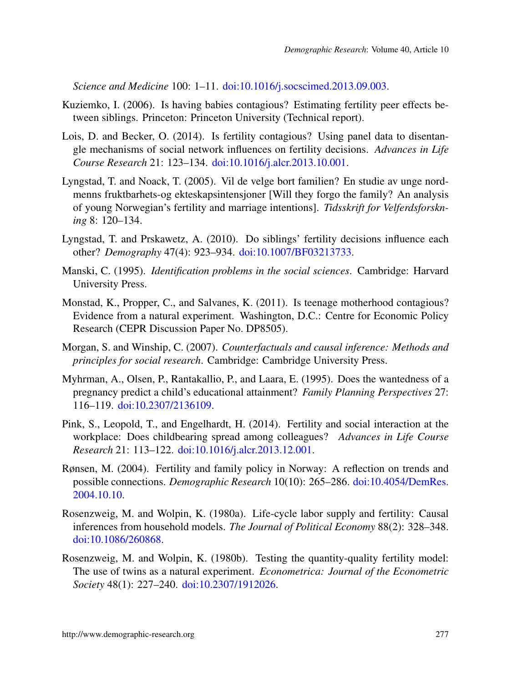*Science and Medicine* 100: 1–11. [doi:10.1016/j.socscimed.2013.09.003.](https://doi.org/10.1016/j.socscimed.2013.09.003)

- <span id="page-18-2"></span>Kuziemko, I. (2006). Is having babies contagious? Estimating fertility peer effects between siblings. Princeton: Princeton University (Technical report).
- <span id="page-18-1"></span>Lois, D. and Becker, O. (2014). Is fertility contagious? Using panel data to disentangle mechanisms of social network influences on fertility decisions. *Advances in Life Course Research* 21: 123–134. [doi:10.1016/j.alcr.2013.10.001.](https://doi.org/10.1016/j.alcr.2013.10.001)
- <span id="page-18-9"></span>Lyngstad, T. and Noack, T. (2005). Vil de velge bort familien? En studie av unge nordmenns fruktbarhets-og ekteskapsintensjoner [Will they forgo the family? An analysis of young Norwegian's fertility and marriage intentions]. *Tidsskrift for Velferdsforskning* 8: 120–134.
- <span id="page-18-3"></span>Lyngstad, T. and Prskawetz, A. (2010). Do siblings' fertility decisions influence each other? *Demography* 47(4): 923–934. [doi:10.1007/BF03213733.](https://doi.org/10.1007/BF03213733)
- <span id="page-18-4"></span>Manski, C. (1995). *Identification problems in the social sciences*. Cambridge: Harvard University Press.
- <span id="page-18-5"></span>Monstad, K., Propper, C., and Salvanes, K. (2011). Is teenage motherhood contagious? Evidence from a natural experiment. Washington, D.C.: Centre for Economic Policy Research (CEPR Discussion Paper No. DP8505).
- <span id="page-18-11"></span>Morgan, S. and Winship, C. (2007). *Counterfactuals and causal inference: Methods and principles for social research*. Cambridge: Cambridge University Press.
- <span id="page-18-10"></span>Myhrman, A., Olsen, P., Rantakallio, P., and Laara, E. (1995). Does the wantedness of a pregnancy predict a child's educational attainment? *Family Planning Perspectives* 27: 116–119. [doi:10.2307/2136109.](https://doi.org/10.2307/2136109)
- <span id="page-18-0"></span>Pink, S., Leopold, T., and Engelhardt, H. (2014). Fertility and social interaction at the workplace: Does childbearing spread among colleagues? *Advances in Life Course Research* 21: 113–122. [doi:10.1016/j.alcr.2013.12.001.](https://doi.org/10.1016/j.alcr.2013.12.001)
- <span id="page-18-8"></span>Rønsen, M. (2004). Fertility and family policy in Norway: A reflection on trends and possible connections. *Demographic Research* 10(10): 265–286. [doi:10.4054/DemRes.](https://doi.org/10.4054/DemRes.2004.10.10) [2004.10.10.](https://doi.org/10.4054/DemRes.2004.10.10)
- <span id="page-18-6"></span>Rosenzweig, M. and Wolpin, K. (1980a). Life-cycle labor supply and fertility: Causal inferences from household models. *The Journal of Political Economy* 88(2): 328–348. [doi:10.1086/260868.](https://doi.org/10.1086/260868)
- <span id="page-18-7"></span>Rosenzweig, M. and Wolpin, K. (1980b). Testing the quantity-quality fertility model: The use of twins as a natural experiment. *Econometrica: Journal of the Econometric Society* 48(1): 227–240. [doi:10.2307/1912026.](https://doi.org/10.2307/1912026)